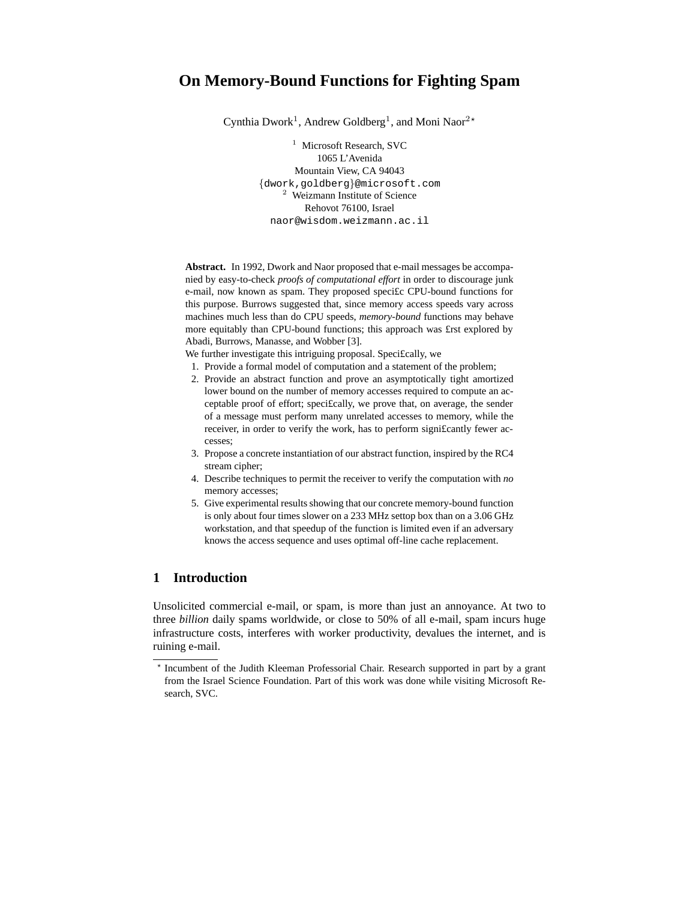# **On Memory-Bound Functions for Fighting Spam**

Cynthia Dwork<sup>1</sup>, Andrew Goldberg<sup>1</sup>, and Moni Naor<sup>2\*</sup>

<sup>1</sup> Microsoft Research, SVC 1065 L'Avenida Mountain View, CA 94043 {dwork,goldberg}@microsoft.com <sup>2</sup> Weizmann Institute of Science Rehovot 76100, Israel naor@wisdom.weizmann.ac.il

**Abstract.** In 1992, Dwork and Naor proposed that e-mail messages be accompanied by easy-to-check *proofs of computational effort* in order to discourage junk e-mail, now known as spam. They proposed speci£c CPU-bound functions for this purpose. Burrows suggested that, since memory access speeds vary across machines much less than do CPU speeds, *memory-bound* functions may behave more equitably than CPU-bound functions; this approach was £rst explored by Abadi, Burrows, Manasse, and Wobber [3].

We further investigate this intriguing proposal. Speci£cally, we

- 1. Provide a formal model of computation and a statement of the problem;
- 2. Provide an abstract function and prove an asymptotically tight amortized lower bound on the number of memory accesses required to compute an acceptable proof of effort; speci£cally, we prove that, on average, the sender of a message must perform many unrelated accesses to memory, while the receiver, in order to verify the work, has to perform signi£cantly fewer accesses;
- 3. Propose a concrete instantiation of our abstract function, inspired by the RC4 stream cipher;
- 4. Describe techniques to permit the receiver to verify the computation with *no* memory accesses;
- 5. Give experimental results showing that our concrete memory-bound function is only about four times slower on a 233 MHz settop box than on a 3.06 GHz workstation, and that speedup of the function is limited even if an adversary knows the access sequence and uses optimal off-line cache replacement.

# **1 Introduction**

Unsolicited commercial e-mail, or spam, is more than just an annoyance. At two to three *billion* daily spams worldwide, or close to 50% of all e-mail, spam incurs huge infrastructure costs, interferes with worker productivity, devalues the internet, and is ruining e-mail.

<sup>?</sup> Incumbent of the Judith Kleeman Professorial Chair. Research supported in part by a grant from the Israel Science Foundation. Part of this work was done while visiting Microsoft Research, SVC.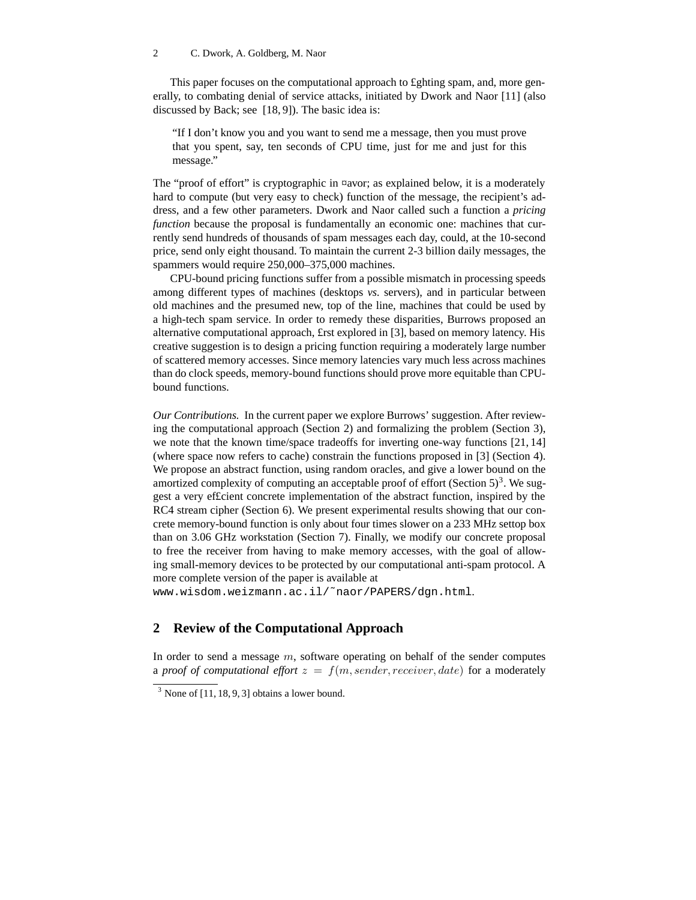This paper focuses on the computational approach to £ghting spam, and, more generally, to combating denial of service attacks, initiated by Dwork and Naor [11] (also discussed by Back; see [18, 9]). The basic idea is:

"If I don't know you and you want to send me a message, then you must prove that you spent, say, ten seconds of CPU time, just for me and just for this message."

The "proof of effort" is cryptographic in ¤avor; as explained below, it is a moderately hard to compute (but very easy to check) function of the message, the recipient's address, and a few other parameters. Dwork and Naor called such a function a *pricing function* because the proposal is fundamentally an economic one: machines that currently send hundreds of thousands of spam messages each day, could, at the 10-second price, send only eight thousand. To maintain the current 2-3 billion daily messages, the spammers would require 250,000–375,000 machines.

CPU-bound pricing functions suffer from a possible mismatch in processing speeds among different types of machines (desktops *vs.* servers), and in particular between old machines and the presumed new, top of the line, machines that could be used by a high-tech spam service. In order to remedy these disparities, Burrows proposed an alternative computational approach, £rst explored in [3], based on memory latency. His creative suggestion is to design a pricing function requiring a moderately large number of scattered memory accesses. Since memory latencies vary much less across machines than do clock speeds, memory-bound functions should prove more equitable than CPUbound functions.

*Our Contributions.* In the current paper we explore Burrows' suggestion. After reviewing the computational approach (Section 2) and formalizing the problem (Section 3), we note that the known time/space tradeoffs for inverting one-way functions [21, 14] (where space now refers to cache) constrain the functions proposed in [3] (Section 4). We propose an abstract function, using random oracles, and give a lower bound on the amortized complexity of computing an acceptable proof of effort (Section  $5)^3$ . We suggest a very ef£cient concrete implementation of the abstract function, inspired by the RC4 stream cipher (Section 6). We present experimental results showing that our concrete memory-bound function is only about four times slower on a 233 MHz settop box than on 3.06 GHz workstation (Section 7). Finally, we modify our concrete proposal to free the receiver from having to make memory accesses, with the goal of allowing small-memory devices to be protected by our computational anti-spam protocol. A more complete version of the paper is available at

www.wisdom.weizmann.ac.il/˜naor/PAPERS/dgn.html.

# **2 Review of the Computational Approach**

In order to send a message  $m$ , software operating on behalf of the sender computes a *proof of computational effort*  $z = f(m, sender, receiver, date)$  for a moderately

 $3$  None of [11, 18, 9, 3] obtains a lower bound.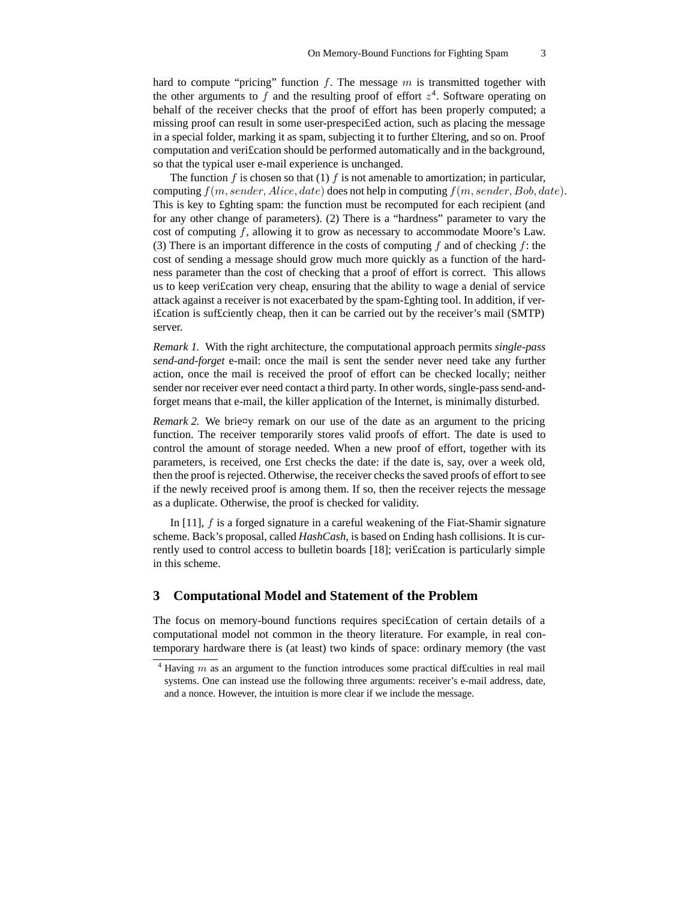hard to compute "pricing" function f. The message  $m$  is transmitted together with the other arguments to f and the resulting proof of effort  $z<sup>4</sup>$ . Software operating on behalf of the receiver checks that the proof of effort has been properly computed; a missing proof can result in some user-prespeci£ed action, such as placing the message in a special folder, marking it as spam, subjecting it to further £ltering, and so on. Proof computation and veri£cation should be performed automatically and in the background, so that the typical user e-mail experience is unchanged.

The function f is chosen so that  $(1)$  f is not among the amortization; in particular, computing  $f(m, sender, Alice, date)$  does not help in computing  $f(m, sender, Bob, date)$ . This is key to £ghting spam: the function must be recomputed for each recipient (and for any other change of parameters). (2) There is a "hardness" parameter to vary the cost of computing f, allowing it to grow as necessary to accommodate Moore's Law. (3) There is an important difference in the costs of computing f and of checking f: the cost of sending a message should grow much more quickly as a function of the hardness parameter than the cost of checking that a proof of effort is correct. This allows us to keep veri£cation very cheap, ensuring that the ability to wage a denial of service attack against a receiver is not exacerbated by the spam-£ghting tool. In addition, if veri£cation is suf£ciently cheap, then it can be carried out by the receiver's mail (SMTP) server.

*Remark 1.* With the right architecture, the computational approach permits *single-pass send-and-forget* e-mail: once the mail is sent the sender never need take any further action, once the mail is received the proof of effort can be checked locally; neither sender nor receiver ever need contact a third party. In other words, single-pass send-andforget means that e-mail, the killer application of the Internet, is minimally disturbed.

*Remark* 2. We brie¤y remark on our use of the date as an argument to the pricing function. The receiver temporarily stores valid proofs of effort. The date is used to control the amount of storage needed. When a new proof of effort, together with its parameters, is received, one £rst checks the date: if the date is, say, over a week old, then the proof is rejected. Otherwise, the receiver checks the saved proofs of effort to see if the newly received proof is among them. If so, then the receiver rejects the message as a duplicate. Otherwise, the proof is checked for validity.

In [11], f is a forged signature in a careful weakening of the Fiat-Shamir signature scheme. Back's proposal, called *HashCash*, is based on £nding hash collisions. It is currently used to control access to bulletin boards [18]; veri£cation is particularly simple in this scheme.

### **3 Computational Model and Statement of the Problem**

The focus on memory-bound functions requires speci£cation of certain details of a computational model not common in the theory literature. For example, in real contemporary hardware there is (at least) two kinds of space: ordinary memory (the vast

 $4$  Having  $m$  as an argument to the function introduces some practical dif£culties in real mail systems. One can instead use the following three arguments: receiver's e-mail address, date, and a nonce. However, the intuition is more clear if we include the message.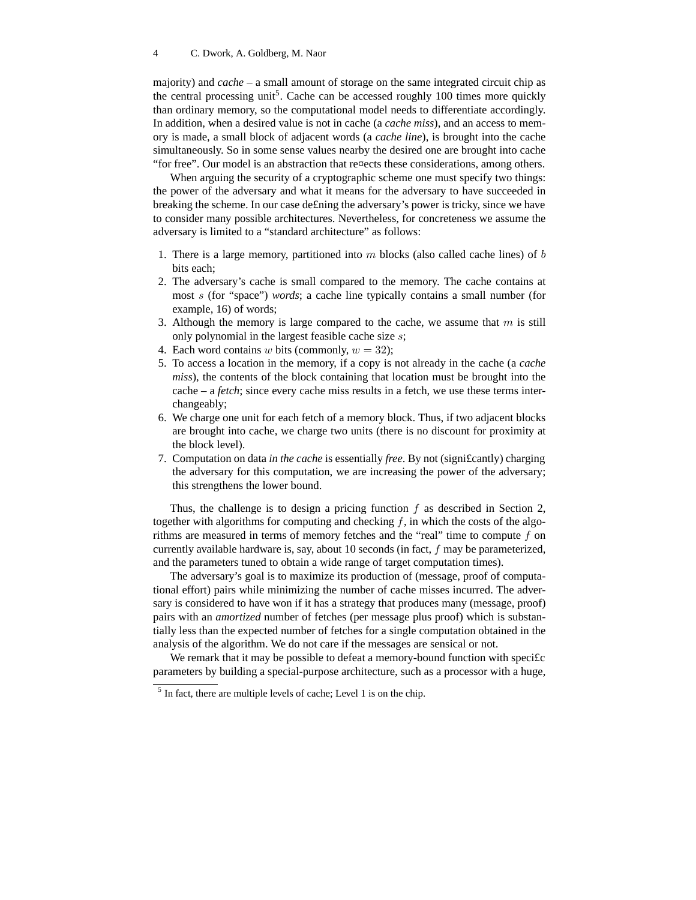majority) and *cache* – a small amount of storage on the same integrated circuit chip as the central processing unit<sup>5</sup>. Cache can be accessed roughly 100 times more quickly than ordinary memory, so the computational model needs to differentiate accordingly. In addition, when a desired value is not in cache (a *cache miss*), and an access to memory is made, a small block of adjacent words (a *cache line*), is brought into the cache simultaneously. So in some sense values nearby the desired one are brought into cache "for free". Our model is an abstraction that re¤ects these considerations, among others.

When arguing the security of a cryptographic scheme one must specify two things: the power of the adversary and what it means for the adversary to have succeeded in breaking the scheme. In our case de£ning the adversary's power is tricky, since we have to consider many possible architectures. Nevertheless, for concreteness we assume the adversary is limited to a "standard architecture" as follows:

- 1. There is a large memory, partitioned into m blocks (also called cache lines) of b bits each;
- 2. The adversary's cache is small compared to the memory. The cache contains at most s (for "space") *words*; a cache line typically contains a small number (for example, 16) of words;
- 3. Although the memory is large compared to the cache, we assume that  $m$  is still only polynomial in the largest feasible cache size s;
- 4. Each word contains w bits (commonly,  $w = 32$ );
- 5. To access a location in the memory, if a copy is not already in the cache (a *cache miss*), the contents of the block containing that location must be brought into the cache – a *fetch*; since every cache miss results in a fetch, we use these terms interchangeably;
- 6. We charge one unit for each fetch of a memory block. Thus, if two adjacent blocks are brought into cache, we charge two units (there is no discount for proximity at the block level).
- 7. Computation on data *in the cache* is essentially *free*. By not (signi£cantly) charging the adversary for this computation, we are increasing the power of the adversary; this strengthens the lower bound.

Thus, the challenge is to design a pricing function  $f$  as described in Section 2, together with algorithms for computing and checking  $f$ , in which the costs of the algorithms are measured in terms of memory fetches and the "real" time to compute  $f$  on currently available hardware is, say, about 10 seconds (in fact,  $f$  may be parameterized, and the parameters tuned to obtain a wide range of target computation times).

The adversary's goal is to maximize its production of (message, proof of computational effort) pairs while minimizing the number of cache misses incurred. The adversary is considered to have won if it has a strategy that produces many (message, proof) pairs with an *amortized* number of fetches (per message plus proof) which is substantially less than the expected number of fetches for a single computation obtained in the analysis of the algorithm. We do not care if the messages are sensical or not.

We remark that it may be possible to defeat a memory-bound function with specific parameters by building a special-purpose architecture, such as a processor with a huge,

<sup>&</sup>lt;sup>5</sup> In fact, there are multiple levels of cache; Level 1 is on the chip.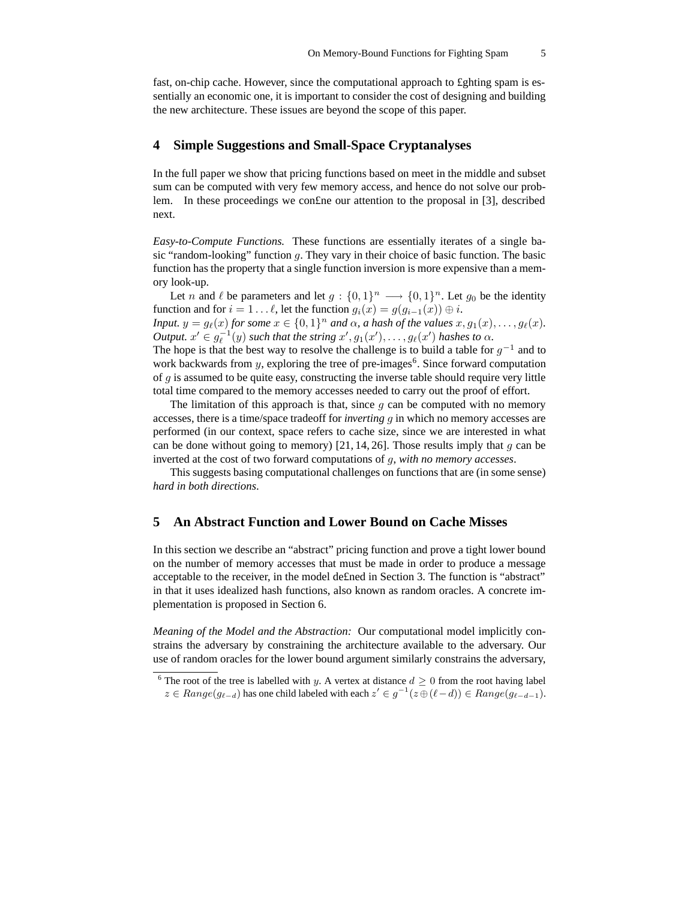fast, on-chip cache. However, since the computational approach to £ghting spam is essentially an economic one, it is important to consider the cost of designing and building the new architecture. These issues are beyond the scope of this paper.

### **4 Simple Suggestions and Small-Space Cryptanalyses**

In the full paper we show that pricing functions based on meet in the middle and subset sum can be computed with very few memory access, and hence do not solve our problem. In these proceedings we con£ne our attention to the proposal in [3], described next.

*Easy-to-Compute Functions.* These functions are essentially iterates of a single basic "random-looking" function  $g$ . They vary in their choice of basic function. The basic function has the property that a single function inversion is more expensive than a memory look-up.

Let *n* and  $\ell$  be parameters and let  $g : \{0,1\}^n \longrightarrow \{0,1\}^n$ . Let  $g_0$  be the identity function and for  $i = 1 \dots \ell$ , let the function  $g_i(x) = g(g_{i-1}(x)) \oplus i$ .

*Input.*  $y = g_{\ell}(x)$  *for some*  $x \in \{0, 1\}^n$  *and*  $\alpha$ *, a hash of the values*  $x, g_1(x), \ldots, g_{\ell}(x)$ *.*  $Output. x' \in g_{\ell}^{-1}(y)$  *such that the string*  $x', g_1(x'), \ldots, g_{\ell}(x')$  *hashes to*  $\alpha$ *.* 

The hope is that the best way to resolve the challenge is to build a table for  $g^{-1}$  and to work backwards from  $y$ , exploring the tree of pre-images<sup>6</sup>. Since forward computation of  $q$  is assumed to be quite easy, constructing the inverse table should require very little total time compared to the memory accesses needed to carry out the proof of effort.

The limitation of this approach is that, since  $q$  can be computed with no memory accesses, there is a time/space tradeoff for *inverting* g in which no memory accesses are performed (in our context, space refers to cache size, since we are interested in what can be done without going to memory) [21, 14, 26]. Those results imply that q can be inverted at the cost of two forward computations of g, *with no memory accesses*.

This suggests basing computational challenges on functions that are (in some sense) *hard in both directions*.

## **5 An Abstract Function and Lower Bound on Cache Misses**

In this section we describe an "abstract" pricing function and prove a tight lower bound on the number of memory accesses that must be made in order to produce a message acceptable to the receiver, in the model de£ned in Section 3. The function is "abstract" in that it uses idealized hash functions, also known as random oracles. A concrete implementation is proposed in Section 6.

*Meaning of the Model and the Abstraction:* Our computational model implicitly constrains the adversary by constraining the architecture available to the adversary. Our use of random oracles for the lower bound argument similarly constrains the adversary,

<sup>&</sup>lt;sup>6</sup> The root of the tree is labelled with y. A vertex at distance  $d \geq 0$  from the root having label  $z \in Range(g_{\ell-d})$  has one child labeled with each  $z' \in g^{-1}(z \oplus (\ell-d)) \in Range(g_{\ell-d-1}).$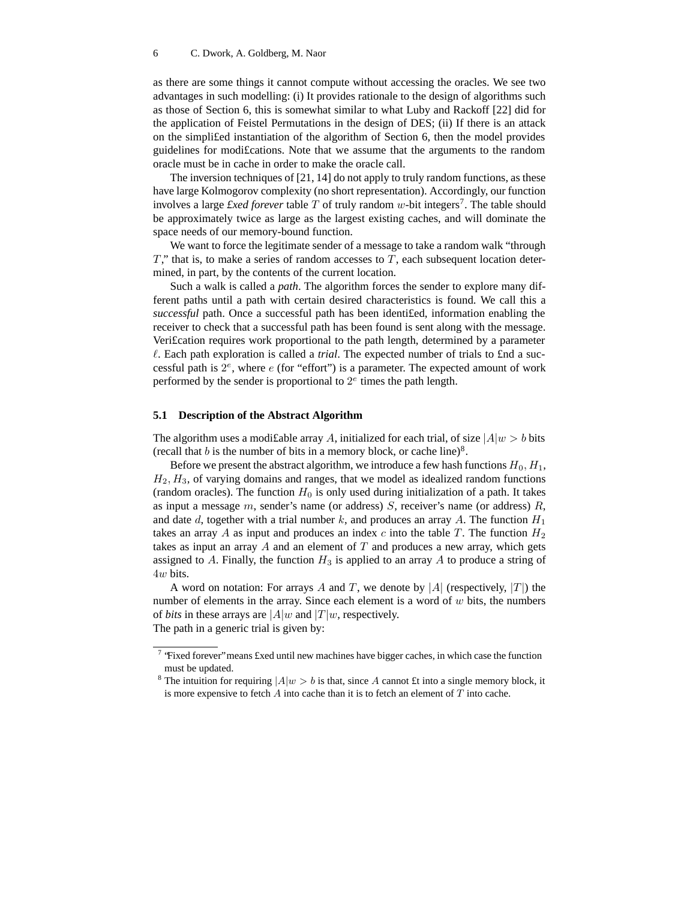as there are some things it cannot compute without accessing the oracles. We see two advantages in such modelling: (i) It provides rationale to the design of algorithms such as those of Section 6, this is somewhat similar to what Luby and Rackoff [22] did for the application of Feistel Permutations in the design of DES; (ii) If there is an attack on the simpli£ed instantiation of the algorithm of Section 6, then the model provides guidelines for modi£cations. Note that we assume that the arguments to the random oracle must be in cache in order to make the oracle call.

The inversion techniques of  $[21, 14]$  do not apply to truly random functions, as these have large Kolmogorov complexity (no short representation). Accordingly, our function involves a large *£xed forever* table  $T$  of truly random  $w$ -bit integers<sup>7</sup>. The table should be approximately twice as large as the largest existing caches, and will dominate the space needs of our memory-bound function.

We want to force the legitimate sender of a message to take a random walk "through  $T$ ," that is, to make a series of random accesses to  $T$ , each subsequent location determined, in part, by the contents of the current location.

Such a walk is called a *path*. The algorithm forces the sender to explore many different paths until a path with certain desired characteristics is found. We call this a *successful* path. Once a successful path has been identi£ed, information enabling the receiver to check that a successful path has been found is sent along with the message. Veri£cation requires work proportional to the path length, determined by a parameter  $\ell$ . Each path exploration is called a *trial*. The expected number of trials to £nd a successful path is  $2^e$ , where  $e$  (for "effort") is a parameter. The expected amount of work performed by the sender is proportional to  $2^e$  times the path length.

#### **5.1 Description of the Abstract Algorithm**

The algorithm uses a modifable array A, initialized for each trial, of size  $|A|w > b$  bits (recall that b is the number of bits in a memory block, or cache line)<sup>8</sup>.

Before we present the abstract algorithm, we introduce a few hash functions  $H_0, H_1$ ,  $H_2, H_3$ , of varying domains and ranges, that we model as idealized random functions (random oracles). The function  $H_0$  is only used during initialization of a path. It takes as input a message  $m$ , sender's name (or address)  $S$ , receiver's name (or address)  $R$ , and date d, together with a trial number k, and produces an array A. The function  $H_1$ takes an array A as input and produces an index c into the table T. The function  $H_2$ takes as input an array  $A$  and an element of  $T$  and produces a new array, which gets assigned to A. Finally, the function  $H_3$  is applied to an array A to produce a string of 4w bits.

A word on notation: For arrays A and T, we denote by  $|A|$  (respectively,  $|T|$ ) the number of elements in the array. Since each element is a word of  $w$  bits, the numbers of *bits* in these arrays are  $|A|w$  and  $|T|w$ , respectively. The path in a generic trial is given by:

<sup>&</sup>lt;sup>7</sup> 'Fixed forever'' means £xed until new machines have bigger caches, in which case the function must be updated.

<sup>&</sup>lt;sup>8</sup> The intuition for requiring  $|A|w > b$  is that, since A cannot £t into a single memory block, it is more expensive to fetch  $A$  into cache than it is to fetch an element of  $T$  into cache.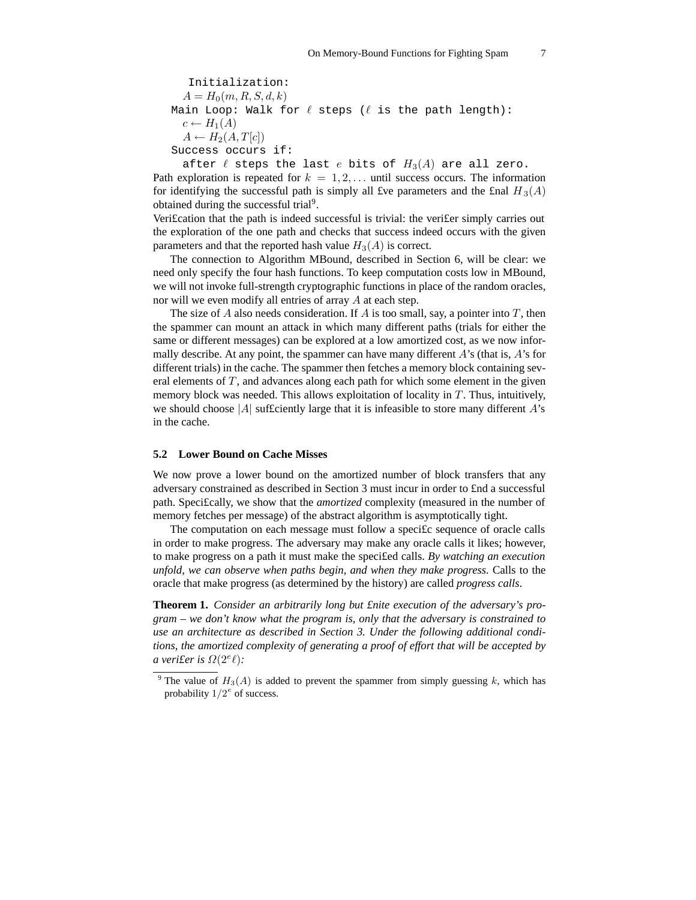Initialization:  $A = H_0(m, R, S, d, k)$ Main Loop: Walk for  $\ell$  steps ( $\ell$  is the path length):  $c \leftarrow H_1(A)$  $A \leftarrow H_2(A, T[c])$ Success occurs if:

after  $\ell$  steps the last  $e$  bits of  $H_3(A)$  are all zero. Path exploration is repeated for  $k = 1, 2, \ldots$  until success occurs. The information for identifying the successful path is simply all £ve parameters and the £nal  $H_3(A)$ obtained during the successful trial<sup>9</sup>.

Veri£cation that the path is indeed successful is trivial: the veri£er simply carries out the exploration of the one path and checks that success indeed occurs with the given parameters and that the reported hash value  $H_3(A)$  is correct.

The connection to Algorithm MBound, described in Section 6, will be clear: we need only specify the four hash functions. To keep computation costs low in MBound, we will not invoke full-strength cryptographic functions in place of the random oracles, nor will we even modify all entries of array A at each step.

The size of A also needs consideration. If A is too small, say, a pointer into  $T$ , then the spammer can mount an attack in which many different paths (trials for either the same or different messages) can be explored at a low amortized cost, as we now informally describe. At any point, the spammer can have many different  $A$ 's (that is,  $A$ 's for different trials) in the cache. The spammer then fetches a memory block containing several elements of  $T$ , and advances along each path for which some element in the given memory block was needed. This allows exploitation of locality in  $T$ . Thus, intuitively, we should choose  $|A|$  sufficiently large that it is infeasible to store many different A's in the cache.

#### **5.2 Lower Bound on Cache Misses**

We now prove a lower bound on the amortized number of block transfers that any adversary constrained as described in Section 3 must incur in order to £nd a successful path. Speci£cally, we show that the *amortized* complexity (measured in the number of memory fetches per message) of the abstract algorithm is asymptotically tight.

The computation on each message must follow a speci£c sequence of oracle calls in order to make progress. The adversary may make any oracle calls it likes; however, to make progress on a path it must make the speci£ed calls. *By watching an execution unfold, we can observe when paths begin, and when they make progress.* Calls to the oracle that make progress (as determined by the history) are called *progress calls*.

**Theorem 1.** *Consider an arbitrarily long but £nite execution of the adversary's program – we don't know what the program is, only that the adversary is constrained to use an architecture as described in Section 3. Under the following additional conditions, the amortized complexity of generating a proof of effort that will be accepted by a* veri£er is  $\Omega(2^e\ell)$ :

<sup>&</sup>lt;sup>9</sup> The value of  $H_3(A)$  is added to prevent the spammer from simply guessing k, which has probability  $1/2^e$  of success.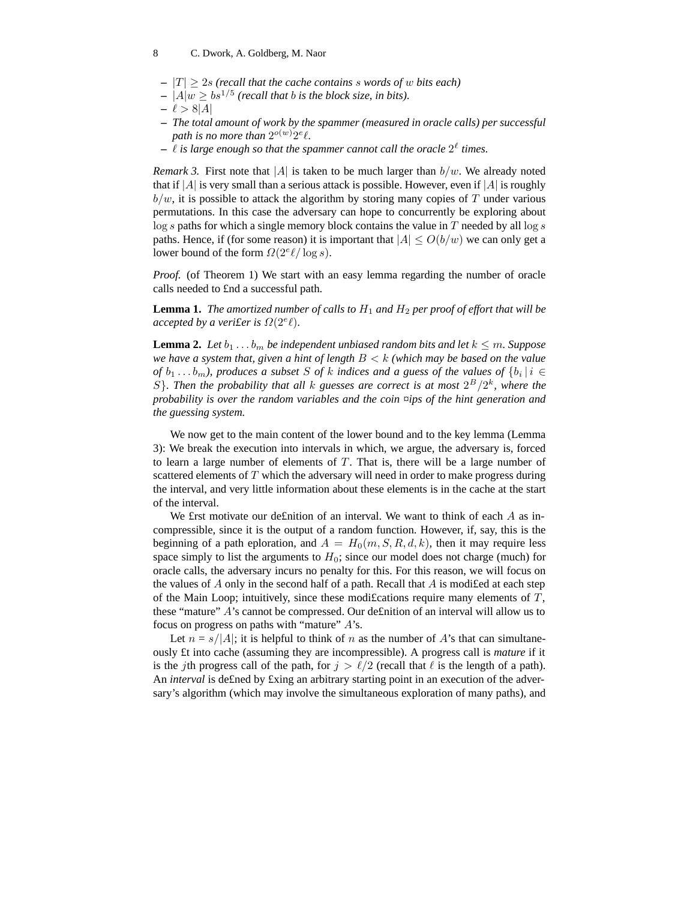#### 8 C. Dwork, A. Goldberg, M. Naor

- $-|T| \geq 2s$  *(recall that the cache contains s words of w bits each)*
- $|A|w \geq bs^{1/5}$  (recall that b is the block size, in bits).
- $\ell > 8|A|$
- **–** *The total amount of work by the spammer (measured in oracle calls) per successful* path is no more than  $2^{o(w)}2^e \ell$ .
- $\ell$  *is large enough so that the spammer cannot call the oracle*  $2^{\ell}$  *times.*

*Remark* 3. First note that |A| is taken to be much larger than  $b/w$ . We already noted that if |A| is very small than a serious attack is possible. However, even if |A| is roughly  $b/w$ , it is possible to attack the algorithm by storing many copies of T under various permutations. In this case the adversary can hope to concurrently be exploring about  $\log s$  paths for which a single memory block contains the value in T needed by all  $\log s$ paths. Hence, if (for some reason) it is important that  $|A| \le O(b/w)$  we can only get a lower bound of the form  $\Omega(2^e\ell/\log s)$ .

*Proof.* (of Theorem 1) We start with an easy lemma regarding the number of oracle calls needed to £nd a successful path.

**Lemma 1.** The amortized number of calls to  $H_1$  and  $H_2$  per proof of effort that will be *accepted by a veri£er is*  $\Omega(2^e\ell)$ *.* 

**Lemma 2.** *Let*  $b_1 \ldots b_m$  *be independent unbiased random bits and let*  $k \le m$ *. Suppose we have a system that, given a hint of length* B < k *(which may be based on the value of*  $b_1 \ldots b_m$ ), produces a subset S of k indices and a guess of the values of  $\{b_i \mid i \in$  $S$ }. Then the probability that all k guesses are correct is at most  $2^B/2^k$ , where the *probability is over the random variables and the coin ¤ips of the hint generation and the guessing system.*

We now get to the main content of the lower bound and to the key lemma (Lemma 3): We break the execution into intervals in which, we argue, the adversary is, forced to learn a large number of elements of  $T$ . That is, there will be a large number of scattered elements of  $T$  which the adversary will need in order to make progress during the interval, and very little information about these elements is in the cache at the start of the interval.

We £rst motivate our de£nition of an interval. We want to think of each  $A$  as incompressible, since it is the output of a random function. However, if, say, this is the beginning of a path eploration, and  $A = H_0(m, S, R, d, k)$ , then it may require less space simply to list the arguments to  $H_0$ ; since our model does not charge (much) for oracle calls, the adversary incurs no penalty for this. For this reason, we will focus on the values of A only in the second half of a path. Recall that A is modified at each step of the Main Loop; intuitively, since these modifications require many elements of  $T$ , these "mature" A's cannot be compressed. Our de£nition of an interval will allow us to focus on progress on paths with "mature" A's.

Let  $n = s/|A|$ ; it is helpful to think of n as the number of A's that can simultaneously £t into cache (assuming they are incompressible). A progress call is *mature* if it is the jth progress call of the path, for  $j > l/2$  (recall that  $\ell$  is the length of a path). An *interval* is de£ned by £xing an arbitrary starting point in an execution of the adversary's algorithm (which may involve the simultaneous exploration of many paths), and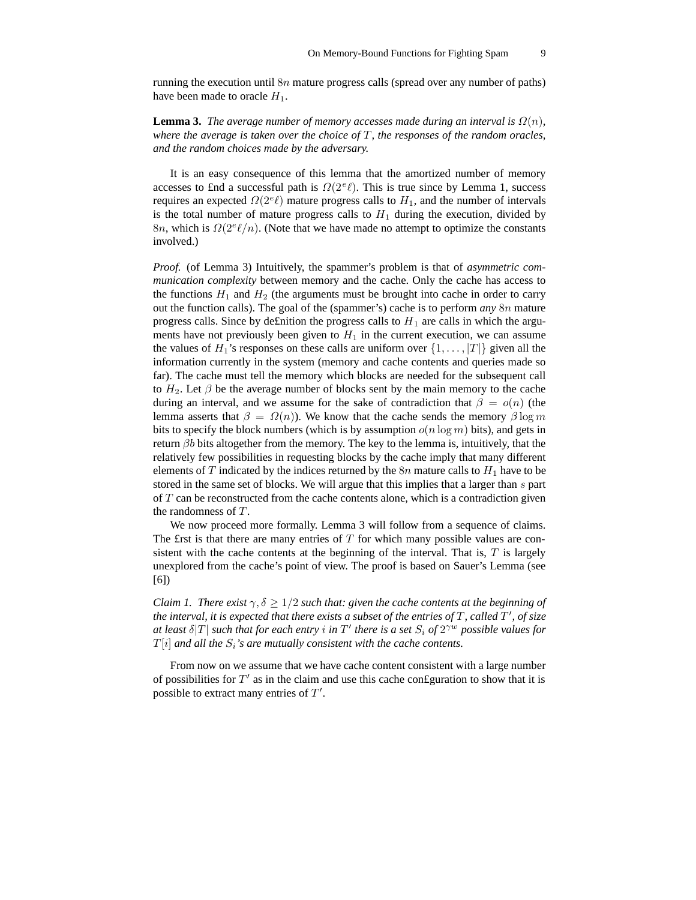running the execution until  $8n$  mature progress calls (spread over any number of paths) have been made to oracle  $H_1$ .

**Lemma 3.** The average number of memory accesses made during an interval is  $\Omega(n)$ , *where the average is taken over the choice of* T*, the responses of the random oracles, and the random choices made by the adversary.*

It is an easy consequence of this lemma that the amortized number of memory accesses to £nd a successful path is  $\Omega(2^e\ell)$ . This is true since by Lemma 1, success requires an expected  $\Omega(2^e\ell)$  mature progress calls to  $H_1$ , and the number of intervals is the total number of mature progress calls to  $H_1$  during the execution, divided by 8n, which is  $\Omega(2^e\ell/n)$ . (Note that we have made no attempt to optimize the constants involved.)

*Proof.* (of Lemma 3) Intuitively, the spammer's problem is that of *asymmetric communication complexity* between memory and the cache. Only the cache has access to the functions  $H_1$  and  $H_2$  (the arguments must be brought into cache in order to carry out the function calls). The goal of the (spammer's) cache is to perform *any* 8n mature progress calls. Since by de£nition the progress calls to  $H_1$  are calls in which the arguments have not previously been given to  $H_1$  in the current execution, we can assume the values of  $H_1$ 's responses on these calls are uniform over  $\{1, \ldots, |T|\}$  given all the information currently in the system (memory and cache contents and queries made so far). The cache must tell the memory which blocks are needed for the subsequent call to  $H_2$ . Let  $\beta$  be the average number of blocks sent by the main memory to the cache during an interval, and we assume for the sake of contradiction that  $\beta = o(n)$  (the lemma asserts that  $\beta = \Omega(n)$ ). We know that the cache sends the memory  $\beta \log m$ bits to specify the block numbers (which is by assumption  $o(n \log m)$  bits), and gets in return  $\beta b$  bits altogether from the memory. The key to the lemma is, intuitively, that the relatively few possibilities in requesting blocks by the cache imply that many different elements of T indicated by the indices returned by the  $8n$  mature calls to  $H_1$  have to be stored in the same set of blocks. We will argue that this implies that a larger than s part of T can be reconstructed from the cache contents alone, which is a contradiction given the randomness of T.

We now proceed more formally. Lemma 3 will follow from a sequence of claims. The £rst is that there are many entries of  $T$  for which many possible values are consistent with the cache contents at the beginning of the interval. That is,  $T$  is largely unexplored from the cache's point of view. The proof is based on Sauer's Lemma (see [6])

*Claim 1. There exist*  $\gamma$ ,  $\delta > 1/2$  *such that: given the cache contents at the beginning of* the interval, it is expected that there exists a subset of the entries of T, called T', of size  $a$  *t* least  $\delta |T|$  such that for each entry  $i$  in  $T'$  there is a set  $S_i$  of  $2^{\gamma w}$  possible values for  $T[i]$  *and all the*  $S_i$ *'s are mutually consistent with the cache contents.* 

From now on we assume that we have cache content consistent with a large number of possibilities for  $T'$  as in the claim and use this cache con£guration to show that it is possible to extract many entries of  $T'$ .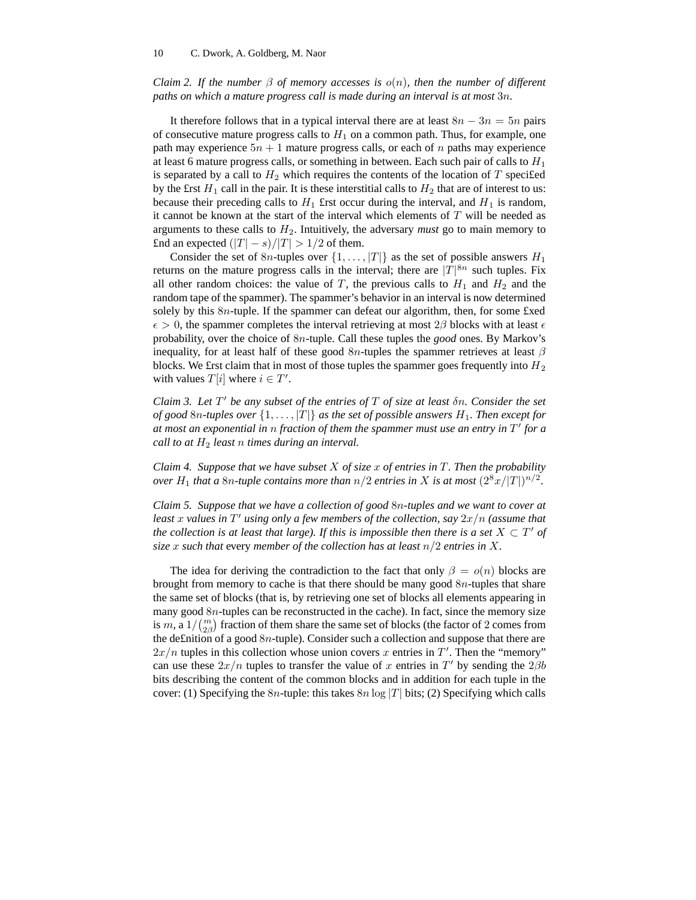*Claim* 2. If the number  $\beta$  of memory accesses is  $o(n)$ , then the number of different *paths on which a mature progress call is made during an interval is at most* 3n*.*

It therefore follows that in a typical interval there are at least  $8n - 3n = 5n$  pairs of consecutive mature progress calls to  $H_1$  on a common path. Thus, for example, one path may experience  $5n + 1$  mature progress calls, or each of n paths may experience at least 6 mature progress calls, or something in between. Each such pair of calls to  $H_1$ is separated by a call to  $H_2$  which requires the contents of the location of T specified by the £rst  $H_1$  call in the pair. It is these interstitial calls to  $H_2$  that are of interest to us: because their preceding calls to  $H_1$  first occur during the interval, and  $H_1$  is random, it cannot be known at the start of the interval which elements of  $T$  will be needed as arguments to these calls to  $H_2$ . Intuitively, the adversary *must* go to main memory to £nd an expected  $(|T| - s)/|T| > 1/2$  of them.

Consider the set of 8n-tuples over  $\{1, \ldots, |T|\}$  as the set of possible answers  $H_1$ returns on the mature progress calls in the interval; there are  $|T|^{8n}$  such tuples. Fix all other random choices: the value of T, the previous calls to  $H_1$  and  $H_2$  and the random tape of the spammer). The spammer's behavior in an interval is now determined solely by this 8n-tuple. If the spammer can defeat our algorithm, then, for some £xed  $\epsilon > 0$ , the spammer completes the interval retrieving at most 2 $\beta$  blocks with at least  $\epsilon$ probability, over the choice of 8n-tuple. Call these tuples the *good* ones. By Markov's inequality, for at least half of these good 8n-tuples the spammer retrieves at least  $\beta$ blocks. We £rst claim that in most of those tuples the spammer goes frequently into  $H_2$ with values  $T[i]$  where  $i \in T'$ .

*Claim* 3. Let  $T'$  be any subset of the entries of  $T$  of size at least  $\delta n$ . Consider the set *of* good 8n-tuples over  $\{1, \ldots, |T|\}$  *as the set of possible answers*  $H_1$ . Then except for *at most an exponential in* n *fraction of them the spammer must use an entry in* T 0 *for a call to at* H<sup>2</sup> *least* n *times during an interval.*

*Claim 4. Suppose that we have subset* X *of size* x *of entries in* T*. Then the probability over*  $H_1$  *that a* 8n-tuple contains more than  $n/2$  entries in  $X$  is at most  $(2^8x/|T|)^{n/2}$ .

*Claim 5. Suppose that we have a collection of good* 8n*-tuples and we want to cover at least* x *values in* T <sup>0</sup> *using only a few members of the collection, say* 2x/n *(assume that the collection is at least that large). If this is impossible then there is a set*  $X \subset T'$  *of size* x *such that* every *member of the collection has at least* n/2 *entries in* X*.*

The idea for deriving the contradiction to the fact that only  $\beta = o(n)$  blocks are brought from memory to cache is that there should be many good  $8n$ -tuples that share the same set of blocks (that is, by retrieving one set of blocks all elements appearing in many good  $8n$ -tuples can be reconstructed in the cache). In fact, since the memory size is m, a  $1/{m \choose 2\beta}$  fraction of them share the same set of blocks (the factor of 2 comes from the de£nition of a good 8n-tuple). Consider such a collection and suppose that there are  $2x/n$  tuples in this collection whose union covers x entries in T'. Then the "memory" can use these  $2x/n$  tuples to transfer the value of x entries in T' by sending the  $2\beta b$ bits describing the content of the common blocks and in addition for each tuple in the cover: (1) Specifying the  $8n$ -tuple: this takes  $8n \log |T|$  bits; (2) Specifying which calls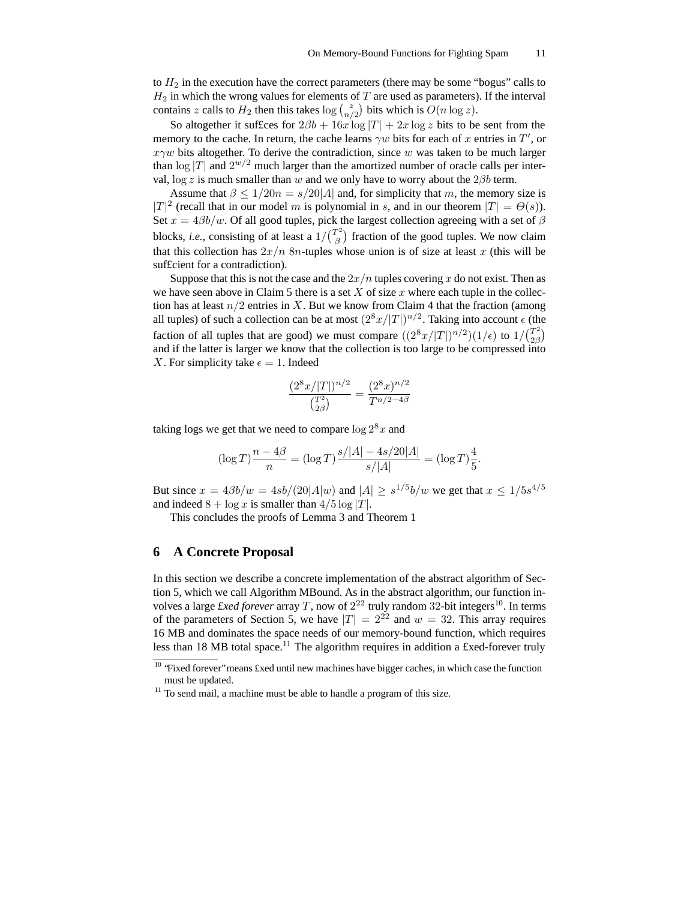to  $H_2$  in the execution have the correct parameters (there may be some "bogus" calls to  $H_2$  in which the wrong values for elements of  $T$  are used as parameters). If the interval contains z calls to  $H_2$  then this takes  $\log {z \choose n/2}$  bits which is  $O(n \log z)$ .

So altogether it suffices for  $2\beta b + 16x \log |T| + 2x \log z$  bits to be sent from the memory to the cache. In return, the cache learns  $\gamma w$  bits for each of x entries in  $T'$ , or  $x\gamma w$  bits altogether. To derive the contradiction, since w was taken to be much larger than  $\log |T|$  and  $2^{w/2}$  much larger than the amortized number of oracle calls per interval,  $\log z$  is much smaller than w and we only have to worry about the 2 $\beta b$  term.

Assume that  $\beta \leq 1/20n = s/20|A|$  and, for simplicity that m, the memory size is  $|T|^2$  (recall that in our model m is polynomial in s, and in our theorem  $|T| = \Theta(s)$ ). Set  $x = 4\beta b/w$ . Of all good tuples, pick the largest collection agreeing with a set of  $\beta$ blocks, *i.e.*, consisting of at least a  $1/\binom{T^2}{\beta}$  $\binom{n}{\beta}$  fraction of the good tuples. We now claim that this collection has  $2x/n$  8n-tuples whose union is of size at least x (this will be suf£cient for a contradiction).

Suppose that this is not the case and the  $2x/n$  tuples covering x do not exist. Then as we have seen above in Claim 5 there is a set  $X$  of size  $x$  where each tuple in the collection has at least  $n/2$  entries in X. But we know from Claim 4 that the fraction (among all tuples) of such a collection can be at most  $(2^8x/|T|)^{n/2}$ . Taking into account  $\epsilon$  (the faction of all tuples that are good) we must compare  $((2^{8}x/|T|)^{n/2})(1/\epsilon)$  to  $1/\binom{T^2}{2\alpha}$  $\binom{T^2}{2\beta}$ and if the latter is larger we know that the collection is too large to be compressed into X. For simplicity take  $\epsilon = 1$ . Indeed

$$
\frac{(2^8x/|T|)^{n/2}}{\binom{T^2}{2\beta}} = \frac{(2^8x)^{n/2}}{T^{n/2-4\beta}}
$$

taking logs we get that we need to compare  $\log 2^8 x$  and

$$
(\log T)\frac{n-4\beta}{n} = (\log T)\frac{s/|A| - 4s/20|A|}{s/|A|} = (\log T)\frac{4}{5}.
$$

But since  $x = 4\beta b/w = 4sb/(20|A|w)$  and  $|A| \geq s^{1/5}b/w$  we get that  $x \leq 1/5s^{4/5}$ and indeed  $8 + \log x$  is smaller than  $4/5 \log |T|$ .

This concludes the proofs of Lemma 3 and Theorem 1

### **6 A Concrete Proposal**

In this section we describe a concrete implementation of the abstract algorithm of Section 5, which we call Algorithm MBound. As in the abstract algorithm, our function involves a large *£xed forever* array T, now of  $2^{22}$  truly random 32-bit integers<sup>10</sup>. In terms of the parameters of Section 5, we have  $|T| = 2^{22}$  and  $w = 32$ . This array requires 16 MB and dominates the space needs of our memory-bound function, which requires less than 18 MB total space.<sup>11</sup> The algorithm requires in addition a £xed-forever truly

<sup>&</sup>lt;sup>10</sup> 'Fixed forever' means £xed until new machines have bigger caches, in which case the function must be updated.

 $11$  To send mail, a machine must be able to handle a program of this size.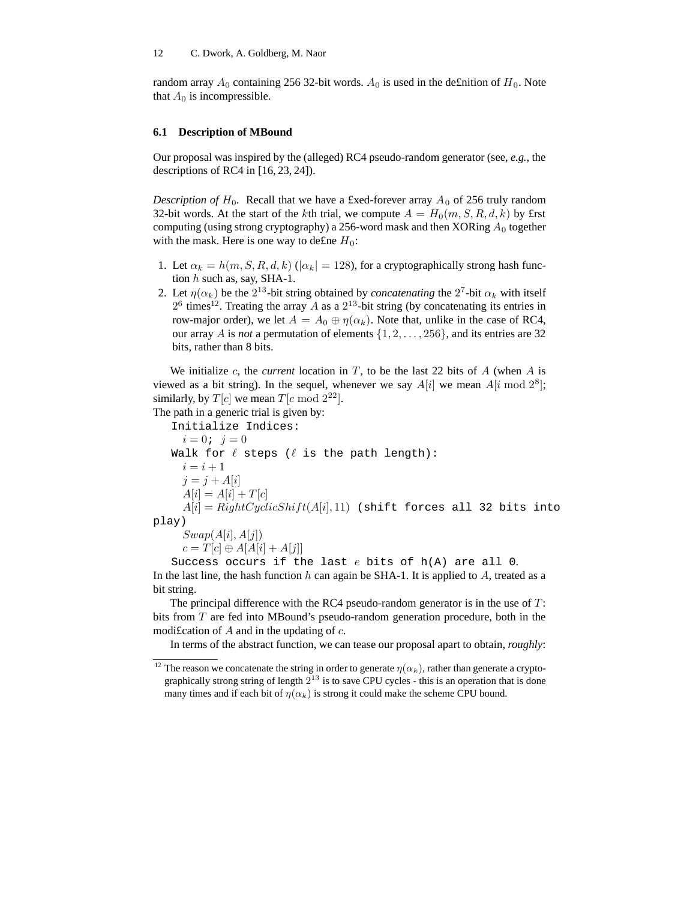random array  $A_0$  containing 256 32-bit words.  $A_0$  is used in the definition of  $H_0$ . Note that  $A_0$  is incompressible.

#### **6.1 Description of MBound**

Our proposal was inspired by the (alleged) RC4 pseudo-random generator (see, *e.g.*, the descriptions of RC4 in [16, 23, 24]).

*Description of*  $H_0$ . Recall that we have a £xed-forever array  $A_0$  of 256 truly random 32-bit words. At the start of the kth trial, we compute  $A = H_0(m, S, R, d, k)$  by £rst computing (using strong cryptography) a 256-word mask and then XORing  $A_0$  together with the mask. Here is one way to define  $H_0$ :

- 1. Let  $\alpha_k = h(m, S, R, d, k)$  ( $|\alpha_k| = 128$ ), for a cryptographically strong hash function  $h$  such as, say, SHA-1.
- 2. Let  $\eta(\alpha_k)$  be the 2<sup>13</sup>-bit string obtained by *concatenating* the 2<sup>7</sup>-bit  $\alpha_k$  with itself  $2^6$  times<sup>12</sup>. Treating the array A as a  $2^{13}$ -bit string (by concatenating its entries in row-major order), we let  $A = A_0 \oplus \eta(\alpha_k)$ . Note that, unlike in the case of RC4, our array A is *not* a permutation of elements {1, 2, . . . , 256}, and its entries are 32 bits, rather than 8 bits.

We initialize c, the *current* location in  $T$ , to be the last 22 bits of  $A$  (when  $A$  is viewed as a bit string). In the sequel, whenever we say  $A[i]$  we mean  $A[i \bmod 2^8]$ ; similarly, by  $T[c]$  we mean  $T[c \mod 2^{22}]$ .

The path in a generic trial is given by:

Initialize Indices:  $i = 0; j = 0$ Walk for  $\ell$  steps ( $\ell$  is the path length):  $i = i + 1$  $j = j + A[i]$  $A[i] = A[i] + T[c]$  $A[i] = RightCyclicShift(A[i], 11)$  (shift forces all 32 bits into play)  $Swap(A[i], A[j])$  $c = T[c] \oplus A[A[i] + A[j]]$ 

Success occurs if the last  $e$  bits of  $h(A)$  are all 0. In the last line, the hash function  $h$  can again be SHA-1. It is applied to  $A$ , treated as a bit string.

The principal difference with the RC4 pseudo-random generator is in the use of  $T$ : bits from T are fed into MBound's pseudo-random generation procedure, both in the modi $\text{\textsterling}$  cation of A and in the updating of  $c$ .

In terms of the abstract function, we can tease our proposal apart to obtain, *roughly*:

<sup>&</sup>lt;sup>12</sup> The reason we concatenate the string in order to generate  $\eta(\alpha_k)$ , rather than generate a cryptographically strong string of length  $2^{13}$  is to save CPU cycles - this is an operation that is done many times and if each bit of  $\eta(\alpha_k)$  is strong it could make the scheme CPU bound.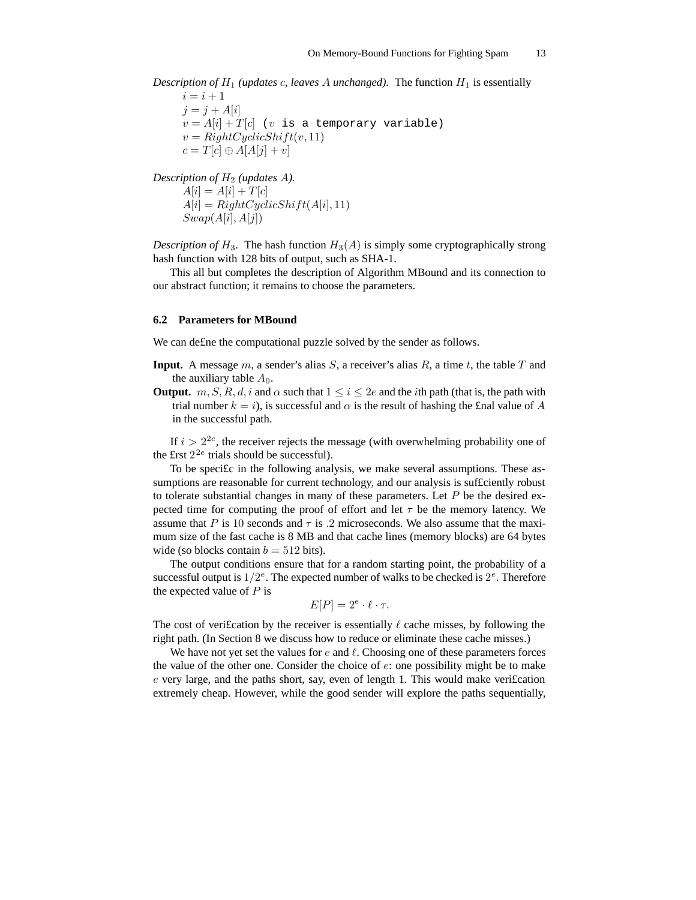*Description of*  $H_1$  *(updates c, leaves A unchanged).* The function  $H_1$  is essentially

 $i = i + 1$  $j = j + A[i]$  $v = A[i] + T[c]$  (*v* is a temporary variable)  $v = RightCyclicShift(v, 11)$  $c = T[c] \oplus A[A[j] + v]$ 

*Description of*  $H_2$  *(updates A).*  $A[i] = A[i] + T[c]$  $A[i] = RightCyclicShift(A[i], 11)$  $Swap(A[i], A[j])$ 

*Description of*  $H_3$ . The hash function  $H_3(A)$  is simply some cryptographically strong hash function with 128 bits of output, such as SHA-1.

This all but completes the description of Algorithm MBound and its connection to our abstract function; it remains to choose the parameters.

#### **6.2 Parameters for MBound**

We can de£ne the computational puzzle solved by the sender as follows.

- **Input.** A message m, a sender's alias S, a receiver's alias R, a time t, the table T and the auxiliary table  $A_0$ .
- **Output.**  $m, S, R, d, i$  and  $\alpha$  such that  $1 \leq i \leq 2e$  and the *i*th path (that is, the path with trial number  $k = i$ ), is successful and  $\alpha$  is the result of hashing the final value of A in the successful path.

If  $i > 2^{2e}$ , the receiver rejects the message (with overwhelming probability one of the £rst  $2^{2e}$  trials should be successful).

To be specific in the following analysis, we make several assumptions. These assumptions are reasonable for current technology, and our analysis is sufficiently robust to tolerate substantial changes in many of these parameters. Let  $P$  be the desired expected time for computing the proof of effort and let  $\tau$  be the memory latency. We assume that P is 10 seconds and  $\tau$  is .2 microseconds. We also assume that the maximum size of the fast cache is 8 MB and that cache lines (memory blocks) are 64 bytes wide (so blocks contain  $b = 512$  bits).

The output conditions ensure that for a random starting point, the probability of a successful output is  $1/2^e$ . The expected number of walks to be checked is  $2^e$ . Therefore the expected value of  $P$  is

$$
E[P] = 2^e \cdot \ell \cdot \tau.
$$

The cost of verification by the receiver is essentially  $\ell$  cache misses, by following the right path. (In Section 8 we discuss how to reduce or eliminate these cache misses.)

We have not yet set the values for  $e$  and  $\ell$ . Choosing one of these parameters forces the value of the other one. Consider the choice of  $e$ : one possibility might be to make e very large, and the paths short, say, even of length 1. This would make veri£cation extremely cheap. However, while the good sender will explore the paths sequentially,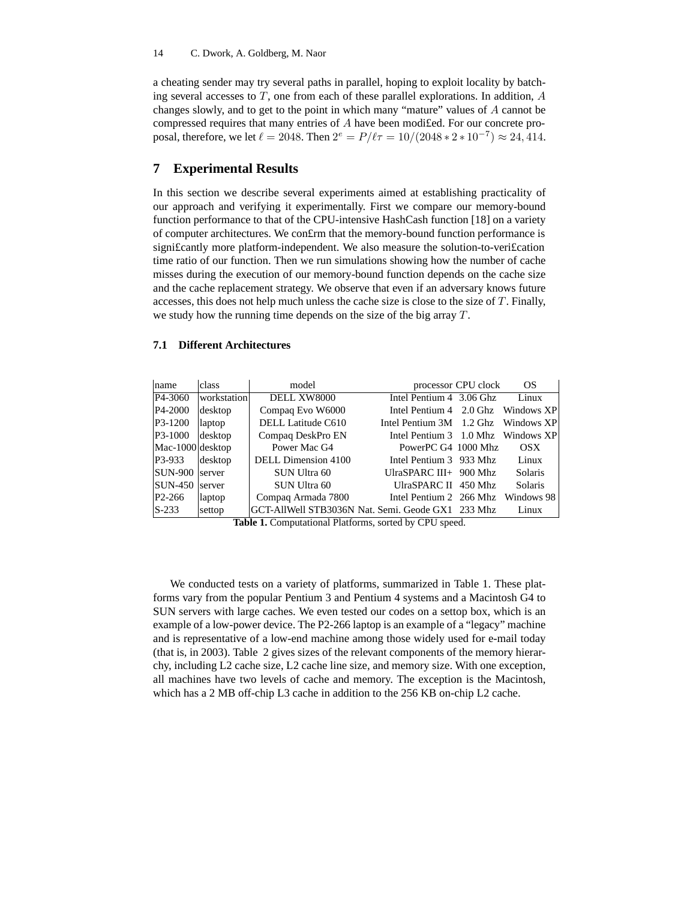a cheating sender may try several paths in parallel, hoping to exploit locality by batching several accesses to  $T$ , one from each of these parallel explorations. In addition,  $\vec{A}$ changes slowly, and to get to the point in which many "mature" values of A cannot be compressed requires that many entries of A have been modi£ed. For our concrete proposal, therefore, we let  $\ell = 2048$ . Then  $2^e = P/\ell\tau = 10/(2048 * 2 * 10^{-7}) \approx 24,414$ .

# **7 Experimental Results**

In this section we describe several experiments aimed at establishing practicality of our approach and verifying it experimentally. First we compare our memory-bound function performance to that of the CPU-intensive HashCash function [18] on a variety of computer architectures. We con£rm that the memory-bound function performance is signi£cantly more platform-independent. We also measure the solution-to-veri£cation time ratio of our function. Then we run simulations showing how the number of cache misses during the execution of our memory-bound function depends on the cache size and the cache replacement strategy. We observe that even if an adversary knows future accesses, this does not help much unless the cache size is close to the size of  $T$ . Finally, we study how the running time depends on the size of the big array T.

### **7.1 Different Architectures**

| name                 | class       | model                                             |                                    | processor CPU clock | <b>OS</b>        |
|----------------------|-------------|---------------------------------------------------|------------------------------------|---------------------|------------------|
| P <sub>4</sub> -3060 | workstation | DELL XW8000                                       | Intel Pentium 4 3.06 Ghz           |                     | Linux            |
| P <sub>4</sub> -2000 | desktop     | Compaq Evo W6000                                  | Intel Pentium 4 2.0 Ghz            |                     | Windows XP       |
| P3-1200              | laptop      | DELL Latitude C610                                | Intel Pentium $3M$ 1.2 Ghz         |                     | Windows XP       |
| P3-1000              | desktop     | Compaq DeskPro EN                                 | Intel Pentium 3 1.0 Mhz Windows XP |                     |                  |
| Mac-1000 desktop     |             | Power Mac G4                                      | PowerPC G4 1000 Mhz                |                     | OSX <sup>1</sup> |
| P3-933               | desktop     | DELL Dimension 4100                               | Intel Pentium 3 933 Mhz            |                     | Linux            |
| SUN-900 server       |             | SUN Ultra 60                                      | UlraSPARC III+ 900 Mhz             |                     | Solaris          |
| SUN-450 server       |             | SUN Ultra 60                                      | UlraSPARC II 450 Mhz               |                     | Solaris          |
| $P2-266$             | laptop      | Compaq Armada 7800                                | Intel Pentium 2 266 Mhz            |                     | Windows 98       |
| $S-233$              | settop      | GCT-AllWell STB3036N Nat. Semi. Geode GX1 233 Mhz |                                    |                     | Linux            |

**Table 1.** Computational Platforms, sorted by CPU speed.

We conducted tests on a variety of platforms, summarized in Table 1. These platforms vary from the popular Pentium 3 and Pentium 4 systems and a Macintosh G4 to SUN servers with large caches. We even tested our codes on a settop box, which is an example of a low-power device. The P2-266 laptop is an example of a "legacy" machine and is representative of a low-end machine among those widely used for e-mail today (that is, in 2003). Table 2 gives sizes of the relevant components of the memory hierarchy, including L2 cache size, L2 cache line size, and memory size. With one exception, all machines have two levels of cache and memory. The exception is the Macintosh, which has a 2 MB off-chip L3 cache in addition to the 256 KB on-chip L2 cache.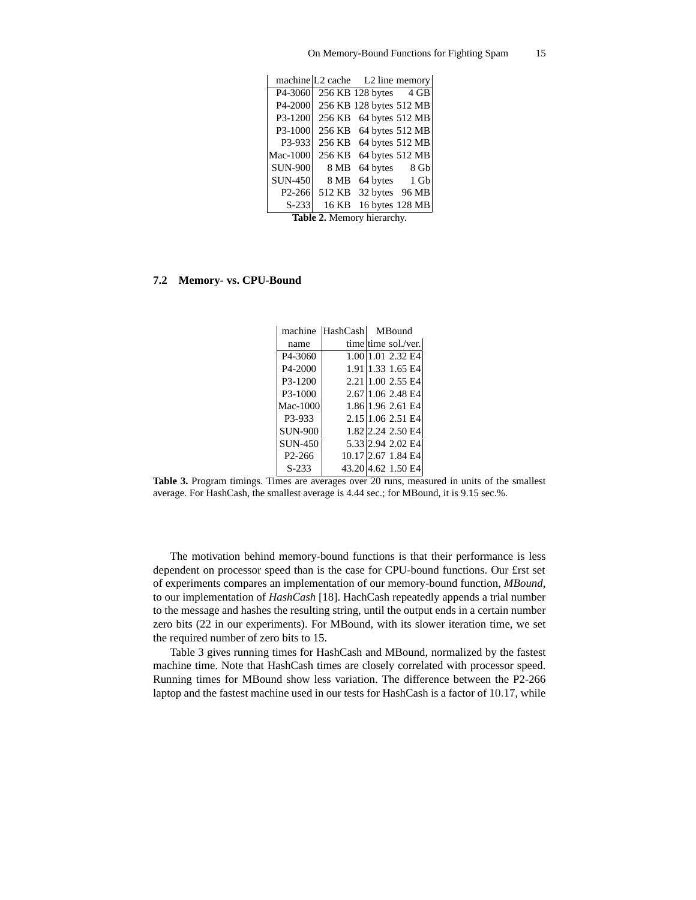|                            |        | machine L2 cache L2 line memory |                 |  |  |  |
|----------------------------|--------|---------------------------------|-----------------|--|--|--|
| P4-3060                    |        | 256 KB 128 bytes                | 4 GB            |  |  |  |
| P4-2000                    |        | 256 KB 128 bytes 512 MB         |                 |  |  |  |
| P3-1200                    | 256 KB | 64 bytes 512 MB                 |                 |  |  |  |
| P3-1000                    | 256 KB | 64 bytes 512 MB                 |                 |  |  |  |
| P3-933                     | 256 KB | 64 bytes 512 MB                 |                 |  |  |  |
| Mac-1000                   | 256 KB | 64 bytes 512 MB                 |                 |  |  |  |
| <b>SUN-900</b>             | 8 MB   |                                 | 64 bytes 8 Gb   |  |  |  |
| <b>SUN-450</b>             | 8 MB   | 64 bytes 1 Gb                   |                 |  |  |  |
| P <sub>2</sub> -266        | 512 KB | 32 bytes 96 MB                  |                 |  |  |  |
| $S-233$                    | 16 KB  |                                 | 16 bytes 128 MB |  |  |  |
| Table 2. Memory hierarchy. |        |                                 |                 |  |  |  |

### **7.2 Memory- vs. CPU-Bound**

|                      | machine HashCash MBound |  |
|----------------------|-------------------------|--|
| name                 | timeltime sol./ver.     |  |
| P <sub>4</sub> -3060 | 1.00 1.01 2.32 E4       |  |
| P <sub>4</sub> -2000 | 1.91 1.33 1.65 E4       |  |
| P3-1200              | 2.211.00 2.55 E4        |  |
| P3-1000              | 2.67 1.06 2.48 E4       |  |
| Mac-1000             | 1.86 1.96 2.61 E4       |  |
| P <sub>3</sub> -933  | 2.15 1.06 2.51 E4       |  |
| <b>SUN-900</b>       | 1.82 2.24 2.50 E4       |  |
| <b>SUN-450</b>       | 5.33 2.94 2.02 E4       |  |
| P <sub>2</sub> -266  | 10.17 2.67 1.84 E4      |  |
| $S-233$              | 43.20 4.62 1.50 E4      |  |

**Table 3.** Program timings. Times are averages over 20 runs, measured in units of the smallest average. For HashCash, the smallest average is 4.44 sec.; for MBound, it is 9.15 sec.%.

The motivation behind memory-bound functions is that their performance is less dependent on processor speed than is the case for CPU-bound functions. Our £rst set of experiments compares an implementation of our memory-bound function, *MBound*, to our implementation of *HashCash* [18]. HachCash repeatedly appends a trial number to the message and hashes the resulting string, until the output ends in a certain number zero bits (22 in our experiments). For MBound, with its slower iteration time, we set the required number of zero bits to 15.

Table 3 gives running times for HashCash and MBound, normalized by the fastest machine time. Note that HashCash times are closely correlated with processor speed. Running times for MBound show less variation. The difference between the P2-266 laptop and the fastest machine used in our tests for HashCash is a factor of 10.17, while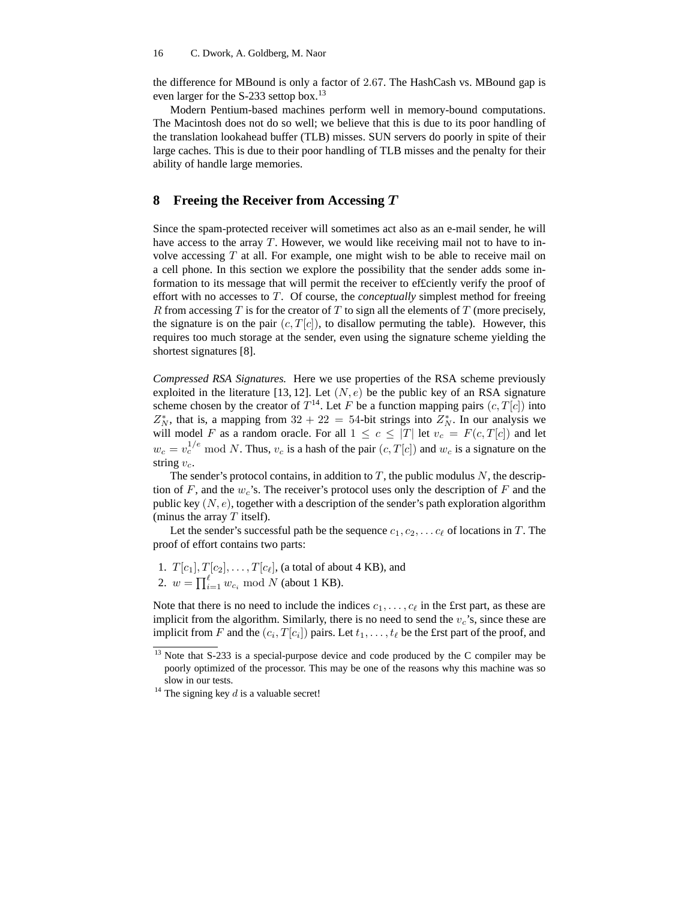the difference for MBound is only a factor of 2.67. The HashCash vs. MBound gap is even larger for the S-233 settop box.<sup>13</sup>

Modern Pentium-based machines perform well in memory-bound computations. The Macintosh does not do so well; we believe that this is due to its poor handling of the translation lookahead buffer (TLB) misses. SUN servers do poorly in spite of their large caches. This is due to their poor handling of TLB misses and the penalty for their ability of handle large memories.

# **8 Freeing the Receiver from Accessing** T

Since the spam-protected receiver will sometimes act also as an e-mail sender, he will have access to the array  $T$ . However, we would like receiving mail not to have to involve accessing  $T$  at all. For example, one might wish to be able to receive mail on a cell phone. In this section we explore the possibility that the sender adds some information to its message that will permit the receiver to ef£ciently verify the proof of effort with no accesses to T. Of course, the *conceptually* simplest method for freeing R from accessing T is for the creator of T to sign all the elements of T (more precisely, the signature is on the pair  $(c, T[c])$ , to disallow permuting the table). However, this requires too much storage at the sender, even using the signature scheme yielding the shortest signatures [8].

*Compressed RSA Signatures.* Here we use properties of the RSA scheme previously exploited in the literature [13, 12]. Let  $(N, e)$  be the public key of an RSA signature scheme chosen by the creator of  $T^{14}$ . Let F be a function mapping pairs  $(c, T[c])$  into  $Z_N^*$ , that is, a mapping from  $32 + 22 = 54$ -bit strings into  $Z_N^*$ . In our analysis we will model F as a random oracle. For all  $1 \leq c \leq |T|$  let  $v_c = F(c, T[c])$  and let  $w_c = v_c^{1/e} \mod N$ . Thus,  $v_c$  is a hash of the pair  $(c, T[c])$  and  $w_c$  is a signature on the string  $v_c$ .

The sender's protocol contains, in addition to  $T$ , the public modulus  $N$ , the description of F, and the  $w_c$ 's. The receiver's protocol uses only the description of F and the public key  $(N, e)$ , together with a description of the sender's path exploration algorithm (minus the array  $T$  itself).

Let the sender's successful path be the sequence  $c_1, c_2, \ldots c_\ell$  of locations in T. The proof of effort contains two parts:

- 1.  $T[c_1], T[c_2], \ldots, T[c_\ell]$ , (a total of about 4 KB), and
- 2.  $w = \prod_{i=1}^{\ell} w_{c_i} \bmod N$  (about 1 KB).

Note that there is no need to include the indices  $c_1, \ldots, c_\ell$  in the £rst part, as these are implicit from the algorithm. Similarly, there is no need to send the  $v_c$ 's, since these are implicit from F and the  $(c_i, T[c_i])$  pairs. Let  $t_1, \ldots, t_\ell$  be the £rst part of the proof, and

<sup>&</sup>lt;sup>13</sup> Note that S-233 is a special-purpose device and code produced by the C compiler may be poorly optimized of the processor. This may be one of the reasons why this machine was so slow in our tests.

<sup>&</sup>lt;sup>14</sup> The signing key  $d$  is a valuable secret!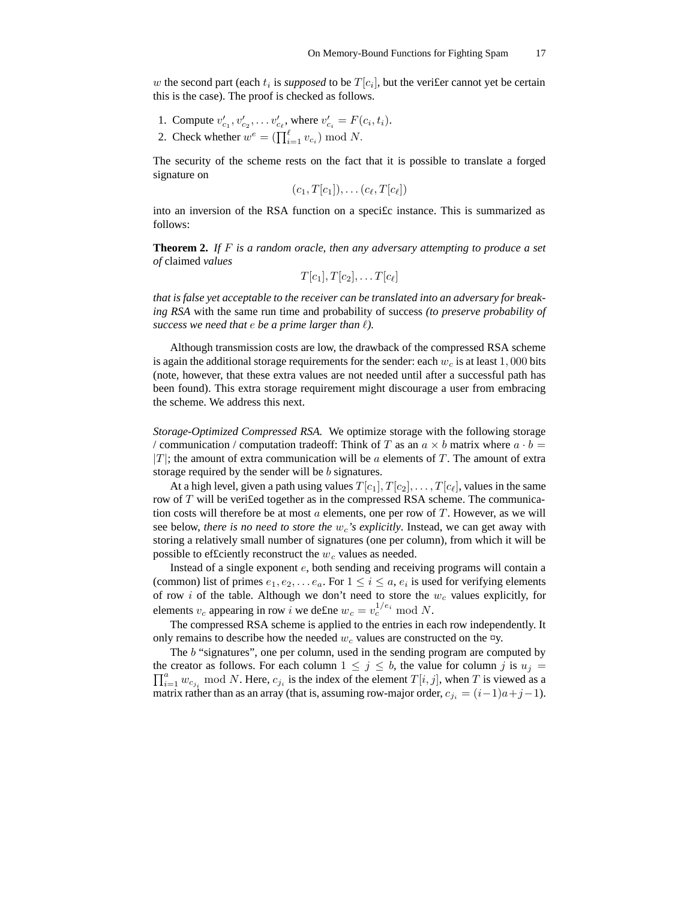w the second part (each  $t_i$  is *supposed* to be  $T[c_i]$ , but the veri£er cannot yet be certain this is the case). The proof is checked as follows.

1. Compute  $v'_{c_1}, v'_{c_2}, \ldots v'_{c_\ell}$ , where  $v'_{c_i} = F(c_i, t_i)$ . 2. Check whether  $w^e = \prod_{i=1}^{\ell} v_{c_i}$  mod N.

The security of the scheme rests on the fact that it is possible to translate a forged signature on

$$
(c_1,T[c_1]),\ldots (c_{\ell},T[c_{\ell}])
$$

into an inversion of the RSA function on a speci£c instance. This is summarized as follows:

**Theorem 2.** *If* F *is a random oracle, then any adversary attempting to produce a set of* claimed *values*

$$
T[c_1], T[c_2], \ldots T[c_\ell]
$$

*that is false yet acceptable to the receiver can be translated into an adversary for breaking RSA* with the same run time and probability of success *(to preserve probability of success* we need that  $e$  *be a* prime larger than  $\ell$ ).

Although transmission costs are low, the drawback of the compressed RSA scheme is again the additional storage requirements for the sender: each  $w_c$  is at least 1,000 bits (note, however, that these extra values are not needed until after a successful path has been found). This extra storage requirement might discourage a user from embracing the scheme. We address this next.

*Storage-Optimized Compressed RSA.* We optimize storage with the following storage / communication / computation tradeoff: Think of T as an  $a \times b$  matrix where  $a \cdot b =$ |T|; the amount of extra communication will be a elements of T. The amount of extra storage required by the sender will be b signatures.

At a high level, given a path using values  $T[c_1], T[c_2], \ldots, T[c_\ell]$ , values in the same row of  $T$  will be veri£ed together as in the compressed RSA scheme. The communication costs will therefore be at most  $\alpha$  elements, one per row of  $T$ . However, as we will see below, *there* is *no need* to *store the*  $w_c$ 's *explicitly*. Instead, we can get away with storing a relatively small number of signatures (one per column), from which it will be possible to efficiently reconstruct the  $w_c$  values as needed.

Instead of a single exponent e, both sending and receiving programs will contain a (common) list of primes  $e_1, e_2, \dots e_a$ . For  $1 \le i \le a$ ,  $e_i$  is used for verifying elements of row i of the table. Although we don't need to store the  $w_c$  values explicitly, for elements  $v_c$  appearing in row i we define  $w_c = v_c^{1/e_i} \mod N$ .

The compressed RSA scheme is applied to the entries in each row independently. It only remains to describe how the needed  $w_c$  values are constructed on the  $\alpha y$ .

The b "signatures", one per column, used in the sending program are computed by the creator as follows. For each column  $1 \leq j \leq b$ , the value for column j is  $u_j =$  $\prod_{i=1}^{a} w_{c_{j_i}}$  mod N. Here,  $c_{j_i}$  is the index of the element  $T[i, j]$ , when T is viewed as a matrix rather than as an array (that is, assuming row-major order,  $c_{j_i} = (i-1)a+j-1$ ).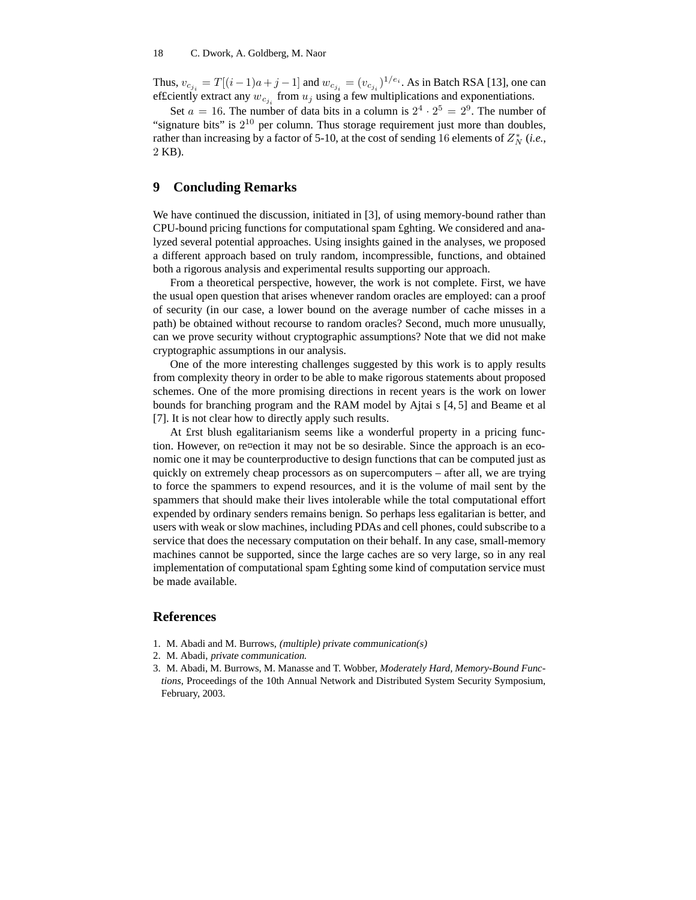Thus,  $v_{c_{j_i}} = T[(i-1)a+j-1]$  and  $w_{c_{j_i}} = (v_{c_{j_i}})^{1/e_i}$ . As in Batch RSA [13], one can efficiently extract any  $w_{c_{j_i}}$  from  $u_j$  using a few multiplications and exponentiations.

Set  $a = 16$ . The number of data bits in a column is  $2^4 \cdot 2^5 = 2^9$ . The number of "signature bits" is  $2^{10}$  per column. Thus storage requirement just more than doubles, rather than increasing by a factor of 5-10, at the cost of sending 16 elements of  $Z_N^*$  (*i.e.*, 2 KB).

# **9 Concluding Remarks**

We have continued the discussion, initiated in [3], of using memory-bound rather than CPU-bound pricing functions for computational spam £ghting. We considered and analyzed several potential approaches. Using insights gained in the analyses, we proposed a different approach based on truly random, incompressible, functions, and obtained both a rigorous analysis and experimental results supporting our approach.

From a theoretical perspective, however, the work is not complete. First, we have the usual open question that arises whenever random oracles are employed: can a proof of security (in our case, a lower bound on the average number of cache misses in a path) be obtained without recourse to random oracles? Second, much more unusually, can we prove security without cryptographic assumptions? Note that we did not make cryptographic assumptions in our analysis.

One of the more interesting challenges suggested by this work is to apply results from complexity theory in order to be able to make rigorous statements about proposed schemes. One of the more promising directions in recent years is the work on lower bounds for branching program and the RAM model by Ajtai s [4, 5] and Beame et al [7]. It is not clear how to directly apply such results.

At £rst blush egalitarianism seems like a wonderful property in a pricing function. However, on re¤ection it may not be so desirable. Since the approach is an economic one it may be counterproductive to design functions that can be computed just as quickly on extremely cheap processors as on supercomputers – after all, we are trying to force the spammers to expend resources, and it is the volume of mail sent by the spammers that should make their lives intolerable while the total computational effort expended by ordinary senders remains benign. So perhaps less egalitarian is better, and users with weak or slow machines, including PDAs and cell phones, could subscribe to a service that does the necessary computation on their behalf. In any case, small-memory machines cannot be supported, since the large caches are so very large, so in any real implementation of computational spam £ghting some kind of computation service must be made available.

### **References**

- 1. M. Abadi and M. Burrows, (multiple) private communication(s)
- 2. M. Abadi, private communication.
- 3. M. Abadi, M. Burrows, M. Manasse and T. Wobber, *Moderately Hard, Memory-Bound Functions*, Proceedings of the 10th Annual Network and Distributed System Security Symposium, February, 2003.